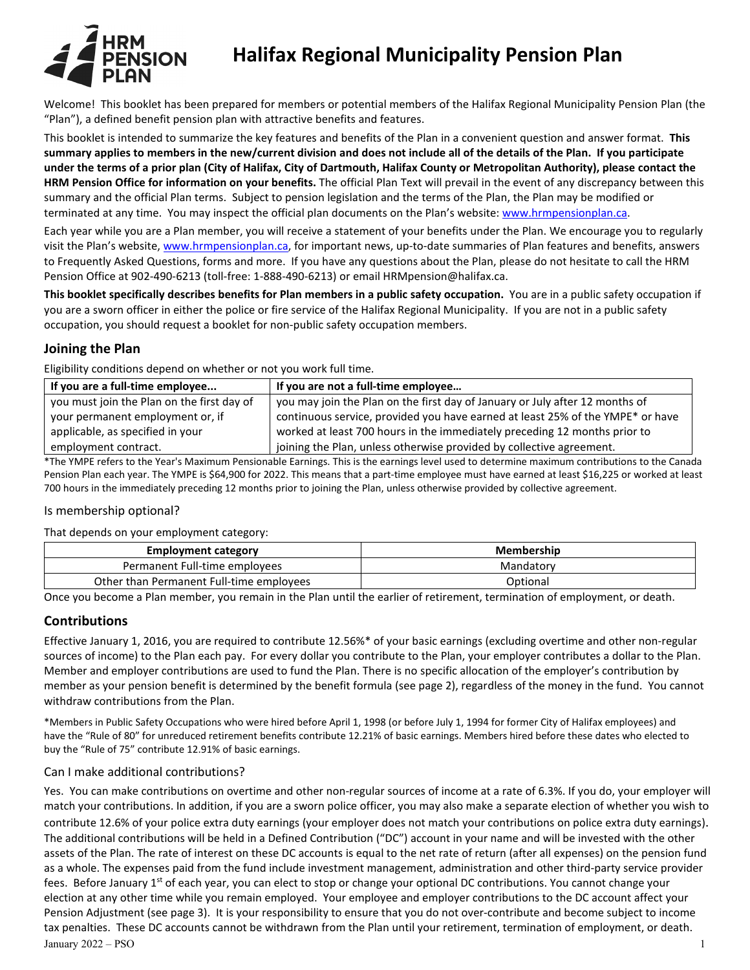

# **Halifax Regional Municipality Pension Plan**

Welcome! This booklet has been prepared for members or potential members of the Halifax Regional Municipality Pension Plan (the "Plan"), a defined benefit pension plan with attractive benefits and features.

This booklet is intended to summarize the key features and benefits of the Plan in a convenient question and answer format. **This summary applies to members in the new/current division and does not include all of the details of the Plan. If you participate under the terms of a prior plan (City of Halifax, City of Dartmouth, Halifax County or Metropolitan Authority), please contact the HRM Pension Office for information on your benefits.** The official Plan Text will prevail in the event of any discrepancy between this summary and the official Plan terms. Subject to pension legislation and the terms of the Plan, the Plan may be modified or terminated at any time. You may inspect the official plan documents on the Plan's website: [www.hrmpensionplan.ca.](http://www.hrmpensionplan.ca/) 

Each year while you are a Plan member, you will receive a statement of your benefits under the Plan. We encourage you to regularly visit the Plan's website[, www.hrmpensionplan.ca,](http://www.hrmpensionplan.ca/) for important news, up-to-date summaries of Plan features and benefits, answers to Frequently Asked Questions, forms and more. If you have any questions about the Plan, please do not hesitate to call the HRM Pension Office at 902-490-6213 (toll-free: 1-888-490-6213) or email HRMpension@halifax.ca.

**This booklet specifically describes benefits for Plan members in a public safety occupation.** You are in a public safety occupation if you are a sworn officer in either the police or fire service of the Halifax Regional Municipality. If you are not in a public safety occupation, you should request a booklet for non-public safety occupation members.

# **Joining the Plan**

Eligibility conditions depend on whether or not you work full time.

| If you are a full-time employee            | If you are not a full-time employee                                            |
|--------------------------------------------|--------------------------------------------------------------------------------|
| you must join the Plan on the first day of | you may join the Plan on the first day of January or July after 12 months of   |
| your permanent employment or, if           | continuous service, provided you have earned at least 25% of the YMPE* or have |
| applicable, as specified in your           | worked at least 700 hours in the immediately preceding 12 months prior to      |
| employment contract.                       | joining the Plan, unless otherwise provided by collective agreement.           |

\*The YMPE refers to the Year's Maximum Pensionable Earnings. This is the earnings level used to determine maximum contributions to the Canada Pension Plan each year. The YMPE is \$64,900 for 2022. This means that a part-time employee must have earned at least \$16,225 or worked at least 700 hours in the immediately preceding 12 months prior to joining the Plan, unless otherwise provided by collective agreement.

# Is membership optional?

That depends on your employment category:

| <b>Employment category</b>               | Membership |
|------------------------------------------|------------|
| Permanent Full-time employees            | Mandatory  |
| Other than Permanent Full-time employees | Optional   |

Once you become a Plan member, you remain in the Plan until the earlier of retirement, termination of employment, or death.

# **Contributions**

Effective January 1, 2016, you are required to contribute 12.56%\* of your basic earnings (excluding overtime and other non-regular sources of income) to the Plan each pay. For every dollar you contribute to the Plan, your employer contributes a dollar to the Plan. Member and employer contributions are used to fund the Plan. There is no specific allocation of the employer's contribution by member as your pension benefit is determined by the benefit formula (see page 2), regardless of the money in the fund. You cannot withdraw contributions from the Plan.

\*Members in Public Safety Occupations who were hired before April 1, 1998 (or before July 1, 1994 for former City of Halifax employees) and have the "Rule of 80" for unreduced retirement benefits contribute 12.21% of basic earnings. Members hired before these dates who elected to buy the "Rule of 75" contribute 12.91% of basic earnings.

# Can I make additional contributions?

January 2022 – PSO 1 Yes. You can make contributions on overtime and other non-regular sources of income at a rate of 6.3%. If you do, your employer will match your contributions. In addition, if you are a sworn police officer, you may also make a separate election of whether you wish to contribute 12.6% of your police extra duty earnings (your employer does not match your contributions on police extra duty earnings). The additional contributions will be held in a Defined Contribution ("DC") account in your name and will be invested with the other assets of the Plan. The rate of interest on these DC accounts is equal to the net rate of return (after all expenses) on the pension fund as a whole. The expenses paid from the fund include investment management, administration and other third-party service provider fees. Before January 1<sup>st</sup> of each year, you can elect to stop or change your optional DC contributions. You cannot change your election at any other time while you remain employed. Your employee and employer contributions to the DC account affect your Pension Adjustment (see page 3). It is your responsibility to ensure that you do not over-contribute and become subject to income tax penalties. These DC accounts cannot be withdrawn from the Plan until your retirement, termination of employment, or death.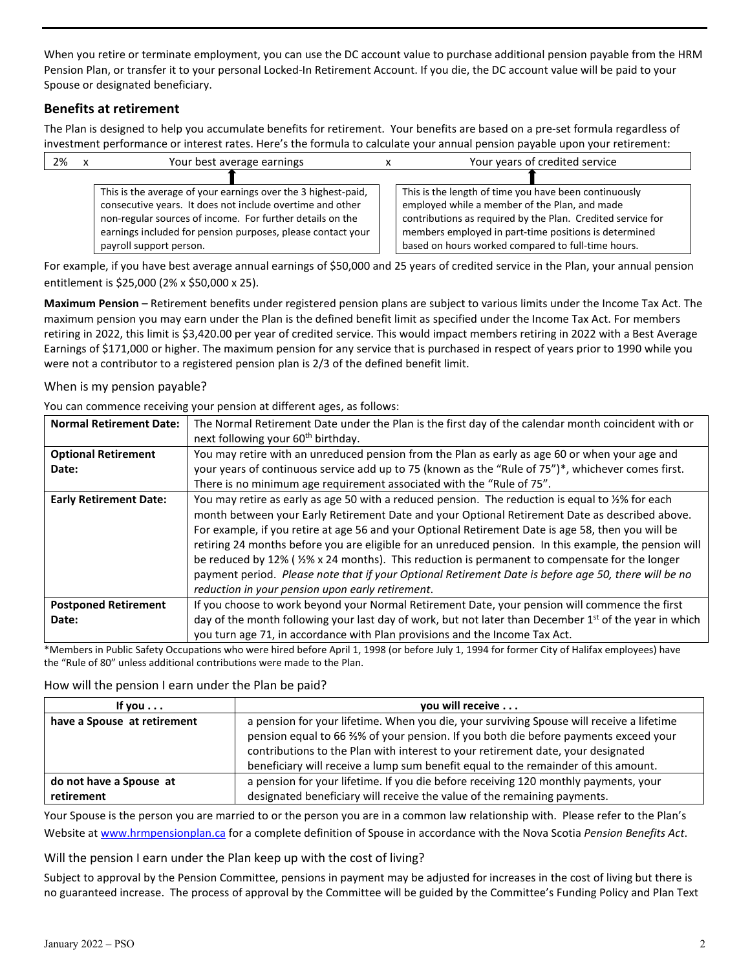When you retire or terminate employment, you can use the DC account value to purchase additional pension payable from the HRM Pension Plan, or transfer it to your personal Locked-In Retirement Account. If you die, the DC account value will be paid to your Spouse or designated beneficiary.

# **Benefits at retirement**

The Plan is designed to help you accumulate benefits for retirement. Your benefits are based on a pre-set formula regardless of investment performance or interest rates. Here's the formula to calculate your annual pension payable upon your retirement:

| 2% | Your best average earnings                                    |  | Your years of credited service                              |
|----|---------------------------------------------------------------|--|-------------------------------------------------------------|
|    |                                                               |  |                                                             |
|    | This is the average of your earnings over the 3 highest-paid, |  | This is the length of time you have been continuously       |
|    | consecutive years. It does not include overtime and other     |  | employed while a member of the Plan, and made               |
|    | non-regular sources of income. For further details on the     |  | contributions as required by the Plan. Credited service for |
|    | earnings included for pension purposes, please contact your   |  | members employed in part-time positions is determined       |
|    | payroll support person.                                       |  | based on hours worked compared to full-time hours.          |

For example, if you have best average annual earnings of \$50,000 and 25 years of credited service in the Plan, your annual pension entitlement is \$25,000 (2% x \$50,000 x 25).

**Maximum Pension** – Retirement benefits under registered pension plans are subject to various limits under the Income Tax Act. The maximum pension you may earn under the Plan is the defined benefit limit as specified under the Income Tax Act. For members retiring in 2022, this limit is \$3,420.00 per year of credited service. This would impact members retiring in 2022 with a Best Average Earnings of \$171,000 or higher. The maximum pension for any service that is purchased in respect of years prior to 1990 while you were not a contributor to a registered pension plan is 2/3 of the defined benefit limit.

## When is my pension payable?

You can commence receiving your pension at different ages, as follows:

| <b>Normal Retirement Date:</b> | The Normal Retirement Date under the Plan is the first day of the calendar month coincident with or                                                                                                                                                                                                                                                                                                                                                                                                                                                                                                                                                                                         |  |
|--------------------------------|---------------------------------------------------------------------------------------------------------------------------------------------------------------------------------------------------------------------------------------------------------------------------------------------------------------------------------------------------------------------------------------------------------------------------------------------------------------------------------------------------------------------------------------------------------------------------------------------------------------------------------------------------------------------------------------------|--|
|                                | next following your 60 <sup>th</sup> birthday.                                                                                                                                                                                                                                                                                                                                                                                                                                                                                                                                                                                                                                              |  |
| <b>Optional Retirement</b>     | You may retire with an unreduced pension from the Plan as early as age 60 or when your age and                                                                                                                                                                                                                                                                                                                                                                                                                                                                                                                                                                                              |  |
| Date:                          | your years of continuous service add up to 75 (known as the "Rule of 75")*, whichever comes first.                                                                                                                                                                                                                                                                                                                                                                                                                                                                                                                                                                                          |  |
|                                | There is no minimum age requirement associated with the "Rule of 75".                                                                                                                                                                                                                                                                                                                                                                                                                                                                                                                                                                                                                       |  |
| <b>Early Retirement Date:</b>  | You may retire as early as age 50 with a reduced pension. The reduction is equal to %% for each<br>month between your Early Retirement Date and your Optional Retirement Date as described above.<br>For example, if you retire at age 56 and your Optional Retirement Date is age 58, then you will be<br>retiring 24 months before you are eligible for an unreduced pension. In this example, the pension will<br>be reduced by 12% ( $\frac{1}{2}\%$ x 24 months). This reduction is permanent to compensate for the longer<br>payment period. Please note that if your Optional Retirement Date is before age 50, there will be no<br>reduction in your pension upon early retirement. |  |
| <b>Postponed Retirement</b>    | If you choose to work beyond your Normal Retirement Date, your pension will commence the first                                                                                                                                                                                                                                                                                                                                                                                                                                                                                                                                                                                              |  |
| Date:                          | day of the month following your last day of work, but not later than December 1 <sup>st</sup> of the year in which                                                                                                                                                                                                                                                                                                                                                                                                                                                                                                                                                                          |  |
|                                | you turn age 71, in accordance with Plan provisions and the Income Tax Act.                                                                                                                                                                                                                                                                                                                                                                                                                                                                                                                                                                                                                 |  |

\*Members in Public Safety Occupations who were hired before April 1, 1998 (or before July 1, 1994 for former City of Halifax employees) have the "Rule of 80" unless additional contributions were made to the Plan.

#### How will the pension I earn under the Plan be paid?

| If you $\dots$              | you will receive                                                                                                                                                                |
|-----------------------------|---------------------------------------------------------------------------------------------------------------------------------------------------------------------------------|
| have a Spouse at retirement | a pension for your lifetime. When you die, your surviving Spouse will receive a lifetime<br>pension equal to 66 %% of your pension. If you both die before payments exceed your |
|                             | contributions to the Plan with interest to your retirement date, your designated<br>beneficiary will receive a lump sum benefit equal to the remainder of this amount.          |
| do not have a Spouse at     | a pension for your lifetime. If you die before receiving 120 monthly payments, your                                                                                             |
| retirement                  | designated beneficiary will receive the value of the remaining payments.                                                                                                        |

Your Spouse is the person you are married to or the person you are in a common law relationship with. Please refer to the Plan's Website a[t www.hrmpensionplan.ca](http://www.hrmpensionplan.ca/) for a complete definition of Spouse in accordance with the Nova Scotia *Pension Benefits Act*.

#### Will the pension I earn under the Plan keep up with the cost of living?

Subject to approval by the Pension Committee, pensions in payment may be adjusted for increases in the cost of living but there is no guaranteed increase. The process of approval by the Committee will be guided by the Committee's Funding Policy and Plan Text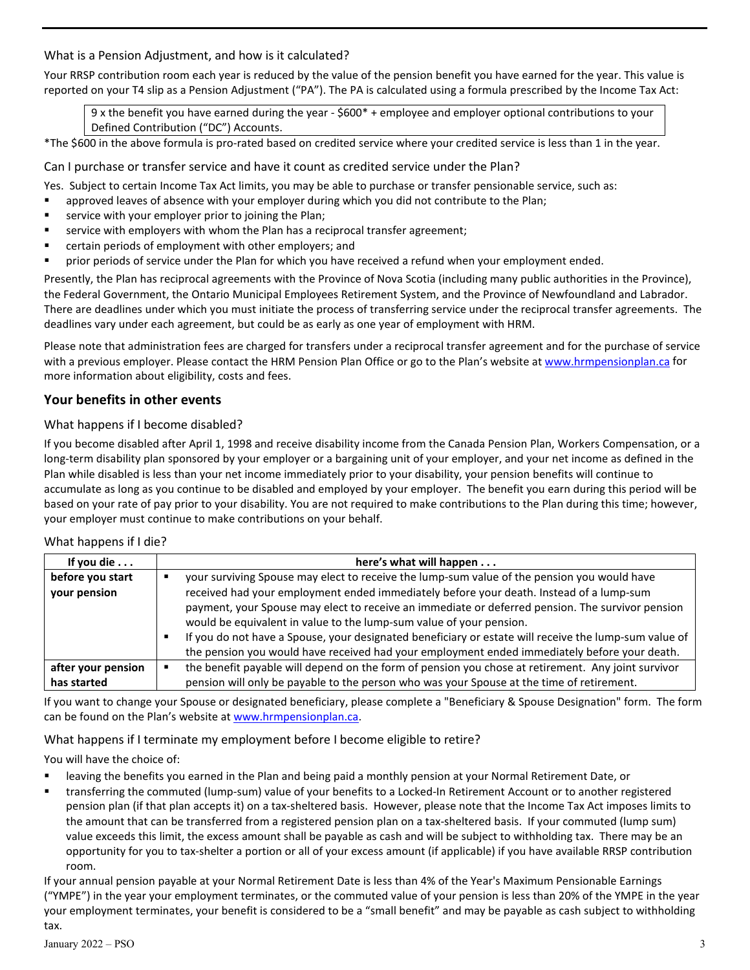## What is a Pension Adjustment, and how is it calculated?

Your RRSP contribution room each year is reduced by the value of the pension benefit you have earned for the year. This value is reported on your T4 slip as a Pension Adjustment ("PA"). The PA is calculated using a formula prescribed by the Income Tax Act:

9 x the benefit you have earned during the year - \$600\* + employee and employer optional contributions to your Defined Contribution ("DC") Accounts.

\*The \$600 in the above formula is pro-rated based on credited service where your credited service is less than 1 in the year.

Can I purchase or transfer service and have it count as credited service under the Plan?

Yes. Subject to certain Income Tax Act limits, you may be able to purchase or transfer pensionable service, such as:

- approved leaves of absence with your employer during which you did not contribute to the Plan;
- **EXTER** service with your employer prior to joining the Plan;
- **EXED** service with employers with whom the Plan has a reciprocal transfer agreement;
- certain periods of employment with other employers; and
- **Perior and Service under the Plan for which you have received a refund when your employment ended.**

Presently, the Plan has reciprocal agreements with the Province of Nova Scotia (including many public authorities in the Province), the Federal Government, the Ontario Municipal Employees Retirement System, and the Province of Newfoundland and Labrador. There are deadlines under which you must initiate the process of transferring service under the reciprocal transfer agreements. The deadlines vary under each agreement, but could be as early as one year of employment with HRM.

Please note that administration fees are charged for transfers under a reciprocal transfer agreement and for the purchase of service with a previous employer. Please contact the HRM Pension Plan Office or go to the Plan's website at [www.hrmpensionplan.ca](http://www.hrmpensionplan.ca/) for more information about eligibility, costs and fees.

## **Your benefits in other events**

#### What happens if I become disabled?

If you become disabled after April 1, 1998 and receive disability income from the Canada Pension Plan, Workers Compensation, or a long-term disability plan sponsored by your employer or a bargaining unit of your employer, and your net income as defined in the Plan while disabled is less than your net income immediately prior to your disability, your pension benefits will continue to accumulate as long as you continue to be disabled and employed by your employer. The benefit you earn during this period will be based on your rate of pay prior to your disability. You are not required to make contributions to the Plan during this time; however, your employer must continue to make contributions on your behalf.

#### What happens if I die?

| If you die $\ldots$              | here's what will happen                                                                                                                                                                                                                                                                                                                                                                                                                                                                                                                                                    |  |  |
|----------------------------------|----------------------------------------------------------------------------------------------------------------------------------------------------------------------------------------------------------------------------------------------------------------------------------------------------------------------------------------------------------------------------------------------------------------------------------------------------------------------------------------------------------------------------------------------------------------------------|--|--|
| before you start<br>your pension | your surviving Spouse may elect to receive the lump-sum value of the pension you would have<br>received had your employment ended immediately before your death. Instead of a lump-sum<br>payment, your Spouse may elect to receive an immediate or deferred pension. The survivor pension<br>would be equivalent in value to the lump-sum value of your pension.<br>If you do not have a Spouse, your designated beneficiary or estate will receive the lump-sum value of<br>the pension you would have received had your employment ended immediately before your death. |  |  |
| after your pension               | the benefit payable will depend on the form of pension you chose at retirement. Any joint survivor                                                                                                                                                                                                                                                                                                                                                                                                                                                                         |  |  |
| has started                      | pension will only be payable to the person who was your Spouse at the time of retirement.                                                                                                                                                                                                                                                                                                                                                                                                                                                                                  |  |  |

If you want to change your Spouse or designated beneficiary, please complete a "Beneficiary & Spouse Designation" form. The form can be found on the Plan's website a[t www.hrmpensionplan.ca.](http://www.hrmpensionplan.ca/)

#### What happens if I terminate my employment before I become eligible to retire?

You will have the choice of:

- leaving the benefits you earned in the Plan and being paid a monthly pension at your Normal Retirement Date, or
- transferring the commuted (lump-sum) value of your benefits to a Locked-In Retirement Account or to another registered pension plan (if that plan accepts it) on a tax-sheltered basis. However, please note that the Income Tax Act imposes limits to the amount that can be transferred from a registered pension plan on a tax-sheltered basis. If your commuted (lump sum) value exceeds this limit, the excess amount shall be payable as cash and will be subject to withholding tax. There may be an opportunity for you to tax-shelter a portion or all of your excess amount (if applicable) if you have available RRSP contribution room.

If your annual pension payable at your Normal Retirement Date is less than 4% of the Year's Maximum Pensionable Earnings ("YMPE") in the year your employment terminates, or the commuted value of your pension is less than 20% of the YMPE in the year your employment terminates, your benefit is considered to be a "small benefit" and may be payable as cash subject to withholding tax.